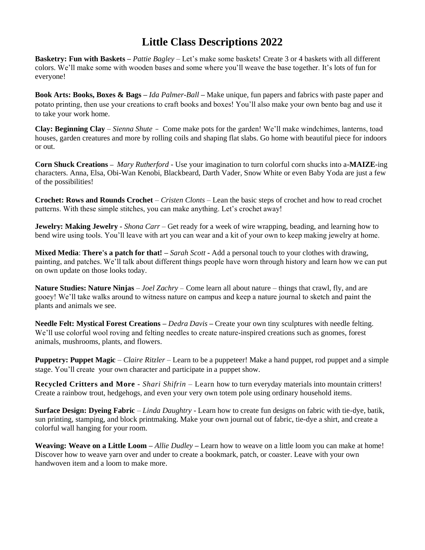## **Little Class Descriptions 2022**

**Basketry: Fun with Baskets –** *Pattie Bagley* – Let's make some baskets! Create 3 or 4 baskets with all different colors. We'll make some with wooden bases and some where you'll weave the base together. It's lots of fun for everyone!

**Book Arts: Books, Boxes & Bags –** *Ida Palmer-Ball* **–** Make unique, fun papers and fabrics with paste paper and potato printing, then use your creations to craft books and boxes! You'll also make your own bento bag and use it to take your work home.

**Clay: Beginning Clay** – *Sienna Shute -* Come make pots for the garden! We'll make windchimes, lanterns, toad houses, garden creatures and more by rolling coils and shaping flat slabs. Go home with beautiful piece for indoors or out.

**Corn Shuck Creations –** *Mary Rutherford* - Use your imagination to turn colorful corn shucks into a-**MAIZE**-ing characters. Anna, Elsa, Obi-Wan Kenobi, Blackbeard, Darth Vader, Snow White or even Baby Yoda are just a few of the possibilities!

**Crochet: Rows and Rounds Crochet** *– Cristen Clonts –* Lean the basic steps of crochet and how to read crochet patterns. With these simple stitches, you can make anything. Let's crochet away!

**Jewelry: Making Jewelry** *- Shona Carr* – Get ready for a week of wire wrapping, beading, and learning how to bend wire using tools. You'll leave with art you can wear and a kit of your own to keep making jewelry at home.

**Mixed Media**: **There's a patch for that! –** *Sarah Scott* **-** Add a personal touch to your clothes with drawing, painting, and patches. We'll talk about different things people have worn through history and learn how we can put on own update on those looks today.

**Nature Studies: Nature Ninjas** – *Joel Zachry –* Come learn all about nature – things that crawl, fly, and are gooey! We'll take walks around to witness nature on campus and keep a nature journal to sketch and paint the plants and animals we see.

**Needle Felt: Mystical Forest Creations –** *Dedra Davis* **–** Create your own tiny sculptures with needle felting. We'll use colorful wool roving and felting needles to create nature-inspired creations such as gnomes, forest animals, mushrooms, plants, and flowers.

**Puppetry: Puppet Magic** – *Claire Ritzler* – Learn to be a puppeteer! Make a hand puppet, rod puppet and a simple stage. You'll create your own character and participate in a puppet show.

**Recycled Critters and More** - *Shari Shifrin* – Learn how to turn everyday materials into mountain critters! Create a rainbow trout, hedgehogs, and even your very own totem pole using ordinary household items.

**Surface Design: Dyeing Fabric** – *Linda Daughtry* - Learn how to create fun designs on fabric with tie-dye, batik, sun printing, stamping, and block printmaking. Make your own journal out of fabric, tie-dye a shirt, and create a colorful wall hanging for your room.

**Weaving: Weave on a Little Loom –** *Allie Dudley* **–** Learn how to weave on a little loom you can make at home! Discover how to weave yarn over and under to create a bookmark, patch, or coaster. Leave with your own handwoven item and a loom to make more.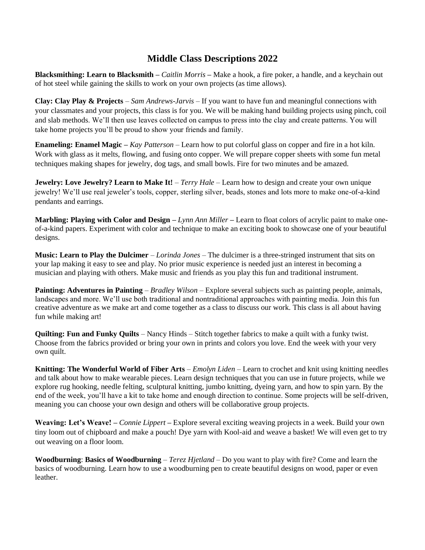## **Middle Class Descriptions 2022**

**Blacksmithing: Learn to Blacksmith –** *Caitlin Morris* **–** Make a hook, a fire poker, a handle, and a keychain out of hot steel while gaining the skills to work on your own projects (as time allows).

**Clay: Clay Play & Projects** – *Sam Andrews-Jarvis* – If you want to have fun and meaningful connections with your classmates and your projects, this class is for you. We will be making hand building projects using pinch, coil and slab methods. We'll then use leaves collected on campus to press into the clay and create patterns. You will take home projects you'll be proud to show your friends and family.

**Enameling: Enamel Magic –** *Kay Patterson* – Learn how to put colorful glass on copper and fire in a hot kiln. Work with glass as it melts, flowing, and fusing onto copper. We will prepare copper sheets with some fun metal techniques making shapes for jewelry, dog tags, and small bowls. Fire for two minutes and be amazed.

**Jewelry: Love Jewelry? Learn to Make It!** – *Terry Hale* – Learn how to design and create your own unique jewelry! We'll use real jeweler's tools, copper, sterling silver, beads, stones and lots more to make one-of-a-kind pendants and earrings.

**Marbling: Playing with Color and Design** – *Lynn Ann Miller* – Learn to float colors of acrylic paint to make oneof-a-kind papers. Experiment with color and technique to make an exciting book to showcase one of your beautiful designs.

**Music: Learn to Play the Dulcimer** – *Lorinda Jones* – The dulcimer is a three-stringed instrument that sits on your lap making it easy to see and play. No prior music experience is needed just an interest in becoming a musician and playing with others. Make music and friends as you play this fun and traditional instrument.

**Painting: Adventures in Painting** – *Bradley Wilson* – Explore several subjects such as painting people, animals, landscapes and more. We'll use both traditional and nontraditional approaches with painting media. Join this fun creative adventure as we make art and come together as a class to discuss our work. This class is all about having fun while making art!

**Quilting: Fun and Funky Quilts** – Nancy Hinds – Stitch together fabrics to make a quilt with a funky twist. Choose from the fabrics provided or bring your own in prints and colors you love. End the week with your very own quilt.

**Knitting: The Wonderful World of Fiber Arts** – *Emolyn Liden* – Learn to crochet and knit using knitting needles and talk about how to make wearable pieces. Learn design techniques that you can use in future projects, while we explore rug hooking, needle felting, sculptural knitting, jumbo knitting, dyeing yarn, and how to spin yarn. By the end of the week, you'll have a kit to take home and enough direction to continue. Some projects will be self-driven, meaning you can choose your own design and others will be collaborative group projects.

**Weaving: Let's Weave! –** *Connie Lippert* **–** Explore several exciting weaving projects in a week. Build your own tiny loom out of chipboard and make a pouch! Dye yarn with Kool-aid and weave a basket! We will even get to try out weaving on a floor loom.

**Woodburning**: **Basics of Woodburning** – *Terez Hjetland –* Do you want to play with fire? Come and learn the basics of woodburning. Learn how to use a woodburning pen to create beautiful designs on wood, paper or even **leather**